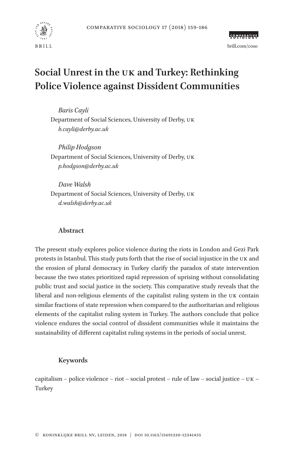

# **Social Unrest in the UK and Turkey: Rethinking Police Violence against Dissident Communities**

*Baris Cayli* Department of Social Sciences, University of Derby, UK *b.cayli@derby.ac.uk*

*Philip Hodgson* Department of Social Sciences, University of Derby, UK *p.hodgson@derby.ac.uk*

*Dave Walsh* Department of Social Sciences, University of Derby, UK *d.walsh@derby.ac.uk*

# **Abstract**

The present study explores police violence during the riots in London and Gezi Park protests in Istanbul. This study puts forth that the rise of social injustice in the UK and the erosion of plural democracy in Turkey clarify the paradox of state intervention because the two states prioritized rapid repression of uprising without consolidating public trust and social justice in the society. This comparative study reveals that the liberal and non-religious elements of the capitalist ruling system in the UK contain similar fractions of state repression when compared to the authoritarian and religious elements of the capitalist ruling system in Turkey. The authors conclude that police violence endures the social control of dissident communities while it maintains the sustainability of different capitalist ruling systems in the periods of social unrest.

# **Keywords**

capitalism – police violence – riot – social protest – rule of law – social justice –  $UK -$ Turkey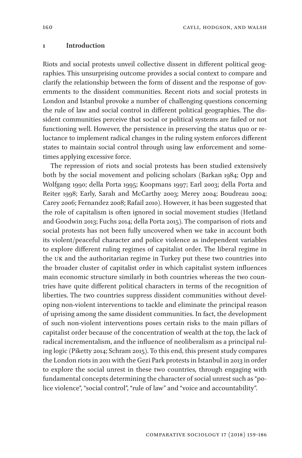#### **1 Introduction**

Riots and social protests unveil collective dissent in different political geographies. This unsurprising outcome provides a social context to compare and clarify the relationship between the form of dissent and the response of governments to the dissident communities. Recent riots and social protests in London and Istanbul provoke a number of challenging questions concerning the rule of law and social control in different political geographies. The dissident communities perceive that social or political systems are failed or not functioning well. However, the persistence in preserving the status quo or reluctance to implement radical changes in the ruling system enforces different states to maintain social control through using law enforcement and sometimes applying excessive force.

The repression of riots and social protests has been studied extensively both by the social movement and policing scholars (Barkan 1984; Opp and Wolfgang 1990; della Porta 1995; Koopmans 1997; Earl 2003; della Porta and Reiter 1998; Early, Sarah and McCarthy 2003; Merey 2004; Boudreau 2004; Carey 2006; Fernandez 2008; Rafail 2010). However, it has been suggested that the role of capitalism is often ignored in social movement studies (Hetland and Goodwin 2013; Fuchs 2014; della Porta 2015). The comparison of riots and social protests has not been fully uncovered when we take in account both its violent/peaceful character and police violence as independent variables to explore different ruling regimes of capitalist order. The liberal regime in the UK and the authoritarian regime in Turkey put these two countries into the broader cluster of capitalist order in which capitalist system influences main economic structure similarly in both countries whereas the two countries have quite different political characters in terms of the recognition of liberties. The two countries suppress dissident communities without developing non-violent interventions to tackle and eliminate the principal reason of uprising among the same dissident communities. In fact, the development of such non-violent interventions poses certain risks to the main pillars of capitalist order because of the concentration of wealth at the top, the lack of radical incrementalism, and the influence of neoliberalism as a principal ruling logic (Piketty 2014; Schram 2015). To this end, this present study compares the London riots in 2011 with the Gezi Park protests in Istanbul in 2013 in order to explore the social unrest in these two countries, through engaging with fundamental concepts determining the character of social unrest such as "police violence", "social control", "rule of law" and "voice and accountability".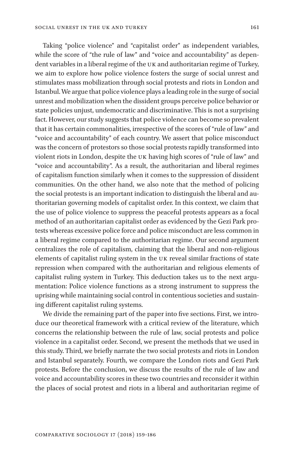while the score of "the rule of law" and "voice and accountability" as dependent variables in a liberal regime of the UK and authoritarian regime of Turkey, we aim to explore how police violence fosters the surge of social unrest and stimulates mass mobilization through social protests and riots in London and Istanbul. We argue that police violence plays a leading role in the surge of social unrest and mobilization when the dissident groups perceive police behavior or state policies unjust, undemocratic and discriminative. This is not a surprising fact. However, our study suggests that police violence can become so prevalent that it has certain commonalities, irrespective of the scores of "rule of law" and "voice and accountability" of each country. We assert that police misconduct was the concern of protestors so those social protests rapidly transformed into violent riots in London, despite the UK having high scores of "rule of law" and "voice and accountability". As a result, the authoritarian and liberal regimes of capitalism function similarly when it comes to the suppression of dissident communities. On the other hand, we also note that the method of policing the social protests is an important indication to distinguish the liberal and authoritarian governing models of capitalist order. In this context, we claim that the use of police violence to suppress the peaceful protests appears as a focal method of an authoritarian capitalist order as evidenced by the Gezi Park protests whereas excessive police force and police misconduct are less common in a liberal regime compared to the authoritarian regime. Our second argument centralizes the role of capitalism, claiming that the liberal and non-religious elements of capitalist ruling system in the UK reveal similar fractions of state repression when compared with the authoritarian and religious elements of capitalist ruling system in Turkey. This deduction takes us to the next argumentation: Police violence functions as a strong instrument to suppress the uprising while maintaining social control in contentious societies and sustaining different capitalist ruling systems.

We divide the remaining part of the paper into five sections. First, we introduce our theoretical framework with a critical review of the literature, which concerns the relationship between the rule of law, social protests and police violence in a capitalist order. Second, we present the methods that we used in this study. Third, we briefly narrate the two social protests and riots in London and Istanbul separately. Fourth, we compare the London riots and Gezi Park protests. Before the conclusion, we discuss the results of the rule of law and voice and accountability scores in these two countries and reconsider it within the places of social protest and riots in a liberal and authoritarian regime of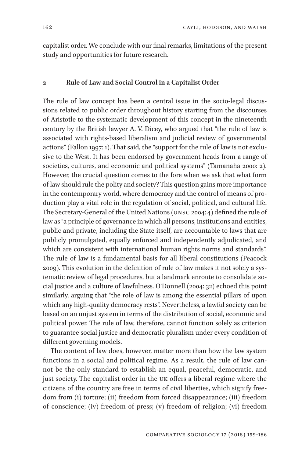capitalist order. We conclude with our final remarks, limitations of the present study and opportunities for future research.

#### **2 Rule of Law and Social Control in a Capitalist Order**

The rule of law concept has been a central issue in the socio-legal discussions related to public order throughout history starting from the discourses of Aristotle to the systematic development of this concept in the nineteenth century by the British lawyer A. V. Dicey, who argued that "the rule of law is associated with rights-based liberalism and judicial review of governmental actions" (Fallon 1997: 1). That said, the "support for the rule of law is not exclusive to the West. It has been endorsed by government heads from a range of societies, cultures, and economic and political systems" (Tamanaha 2000: 2). However, the crucial question comes to the fore when we ask that what form of law should rule the polity and society? This question gains more importance in the contemporary world, where democracy and the control of means of production play a vital role in the regulation of social, political, and cultural life. The Secretary-General of the United Nations (UNSC 2004: 4) defined the rule of law as "a principle of governance in which all persons, institutions and entities, public and private, including the State itself, are accountable to laws that are publicly promulgated, equally enforced and independently adjudicated, and which are consistent with international human rights norms and standards". The rule of law is a fundamental basis for all liberal constitutions (Peacock 2009). This evolution in the definition of rule of law makes it not solely a systematic review of legal procedures, but a landmark enroute to consolidate social justice and a culture of lawfulness. O'Donnell (2004: 32) echoed this point similarly, arguing that "the role of law is among the essential pillars of upon which any high-quality democracy rests". Nevertheless, a lawful society can be based on an unjust system in terms of the distribution of social, economic and political power. The rule of law, therefore, cannot function solely as criterion to guarantee social justice and democratic pluralism under every condition of different governing models.

The content of law does, however, matter more than how the law system functions in a social and political regime. As a result, the rule of law cannot be the only standard to establish an equal, peaceful, democratic, and just society. The capitalist order in the UK offers a liberal regime where the citizens of the country are free in terms of civil liberties, which signify freedom from (i) torture; (ii) freedom from forced disappearance; (iii) freedom of conscience; (iv) freedom of press; (v) freedom of religion; (vi) freedom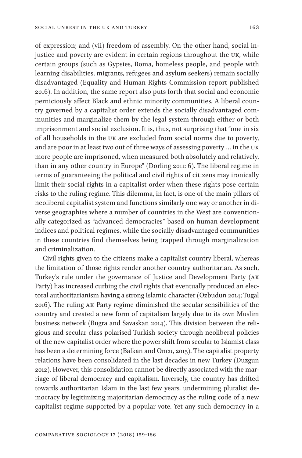of expression; and (vii) freedom of assembly. On the other hand, social injustice and poverty are evident in certain regions throughout the UK, while certain groups (such as Gypsies, Roma, homeless people, and people with learning disabilities, migrants, refugees and asylum seekers) remain socially disadvantaged (Equality and Human Rights Commission report published 2016). In addition, the same report also puts forth that social and economic perniciously affect Black and ethnic minority communities. A liberal country governed by a capitalist order extends the socially disadvantaged communities and marginalize them by the legal system through either or both imprisonment and social exclusion. It is, thus, not surprising that "one in six of all households in the UK are excluded from social norms due to poverty, and are poor in at least two out of three ways of assessing poverty … in the UK more people are imprisoned, when measured both absolutely and relatively, than in any other country in Europe" (Dorling 2011: 6). The liberal regime in terms of guaranteeing the political and civil rights of citizens may ironically limit their social rights in a capitalist order when these rights pose certain risks to the ruling regime. This dilemma, in fact, is one of the main pillars of neoliberal capitalist system and functions similarly one way or another in diverse geographies where a number of countries in the West are conventionally categorized as "advanced democracies" based on human development indices and political regimes, while the socially disadvantaged communities in these countries find themselves being trapped through marginalization and criminalization.

Civil rights given to the citizens make a capitalist country liberal, whereas the limitation of those rights render another country authoritarian. As such, Turkey's rule under the governance of Justice and Development Party (AK Party) has increased curbing the civil rights that eventually produced an electoral authoritarianism having a strong Islamic character (Ozbudun 2014; Tugal 2016). The ruling AK Party regime diminished the secular sensibilities of the country and created a new form of capitalism largely due to its own Muslim business network (Bugra and Savaskan 2014). This division between the religious and secular class polarised Turkish society through neoliberal policies of the new capitalist order where the power shift from secular to Islamist class has been a determining force (Balkan and Oncu, 2015). The capitalist property relations have been consolidated in the last decades in new Turkey (Duzgun 2012). However, this consolidation cannot be directly associated with the marriage of liberal democracy and capitalism. Inversely, the country has drifted towards authoritarian Islam in the last few years, undermining pluralist democracy by legitimizing majoritarian democracy as the ruling code of a new capitalist regime supported by a popular vote. Yet any such democracy in a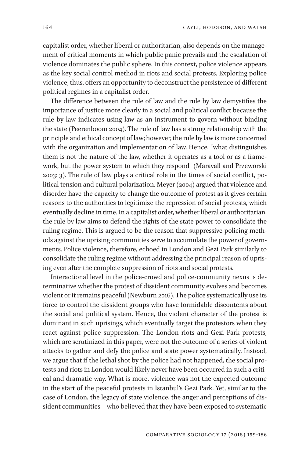capitalist order, whether liberal or authoritarian, also depends on the management of critical moments in which public panic prevails and the escalation of violence dominates the public sphere. In this context, police violence appears as the key social control method in riots and social protests. Exploring police violence, thus, offers an opportunity to deconstruct the persistence of different political regimes in a capitalist order.

The difference between the rule of law and the rule by law demystifies the importance of justice more clearly in a social and political conflict because the rule by law indicates using law as an instrument to govern without binding the state (Peerenboom 2004). The rule of law has a strong relationship with the principle and ethical concept of law; however, the rule by law is more concerned with the organization and implementation of law. Hence, "what distinguishes them is not the nature of the law, whether it operates as a tool or as a framework, but the power system to which they respond" (Maravall and Przeworski 2003: 3). The rule of law plays a critical role in the times of social conflict, political tension and cultural polarization. Meyer (2004) argued that violence and disorder have the capacity to change the outcome of protest as it gives certain reasons to the authorities to legitimize the repression of social protests, which eventually decline in time. In a capitalist order, whether liberal or authoritarian, the rule by law aims to defend the rights of the state power to consolidate the ruling regime. This is argued to be the reason that suppressive policing methods against the uprising communities serve to accumulate the power of governments. Police violence, therefore, echoed in London and Gezi Park similarly to consolidate the ruling regime without addressing the principal reason of uprising even after the complete suppression of riots and social protests.

Interactional level in the police-crowd and police-community nexus is determinative whether the protest of dissident community evolves and becomes violent or it remains peaceful (Newburn 2016). The police systematically use its force to control the dissident groups who have formidable discontents about the social and political system. Hence, the violent character of the protest is dominant in such uprisings, which eventually target the protestors when they react against police suppression. The London riots and Gezi Park protests, which are scrutinized in this paper, were not the outcome of a series of violent attacks to gather and defy the police and state power systematically. Instead, we argue that if the lethal shot by the police had not happened, the social protests and riots in London would likely never have been occurred in such a critical and dramatic way. What is more, violence was not the expected outcome in the start of the peaceful protests in Istanbul's Gezi Park. Yet, similar to the case of London, the legacy of state violence, the anger and perceptions of dissident communities – who believed that they have been exposed to systematic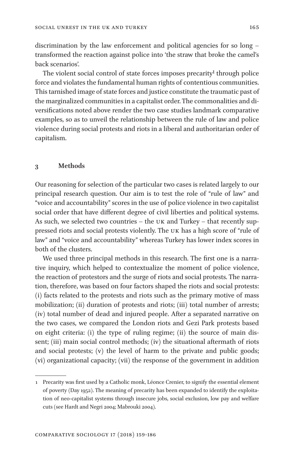discrimination by the law enforcement and political agencies for so long – transformed the reaction against police into 'the straw that broke the camel's back scenarios'.

The violent social control of state forces imposes precarity<sup>1</sup> through police force and violates the fundamental human rights of contentious communities. This tarnished image of state forces and justice constitute the traumatic past of the marginalized communities in a capitalist order. The commonalities and diversifications noted above render the two case studies landmark comparative examples, so as to unveil the relationship between the rule of law and police violence during social protests and riots in a liberal and authoritarian order of capitalism.

## **3 Methods**

Our reasoning for selection of the particular two cases is related largely to our principal research question. Our aim is to test the role of "rule of law" and "voice and accountability" scores in the use of police violence in two capitalist social order that have different degree of civil liberties and political systems. As such, we selected two countries – the UK and Turkey – that recently suppressed riots and social protests violently. The UK has a high score of "rule of law" and "voice and accountability" whereas Turkey has lower index scores in both of the clusters.

We used three principal methods in this research. The first one is a narrative inquiry, which helped to contextualize the moment of police violence, the reaction of protestors and the surge of riots and social protests. The narration, therefore, was based on four factors shaped the riots and social protests: (i) facts related to the protests and riots such as the primary motive of mass mobilization; (ii) duration of protests and riots; (iii) total number of arrests; (iv) total number of dead and injured people. After a separated narrative on the two cases, we compared the London riots and Gezi Park protests based on eight criteria: (i) the type of ruling regime; (ii) the source of main dissent; (iii) main social control methods; (iv) the situational aftermath of riots and social protests; (v) the level of harm to the private and public goods; (vi) organizational capacity; (vii) the response of the government in addition

<sup>1</sup> Precarity was first used by a Catholic monk, Léonce Crenier, to signify the essential element of poverty (Day 1952). The meaning of precarity has been expanded to identify the exploitation of neo-capitalist systems through insecure jobs, social exclusion, low pay and welfare cuts (see Hardt and Negri 2004; Mabrouki 2004).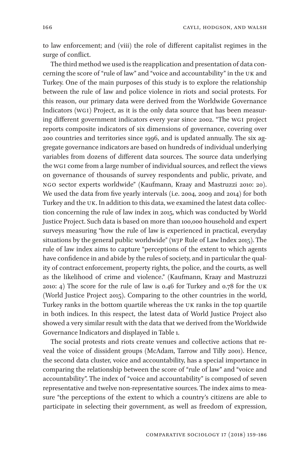to law enforcement; and (viii) the role of different capitalist regimes in the surge of conflict.

The third method we used is the reapplication and presentation of data concerning the score of "rule of law" and "voice and accountability" in the UK and Turkey. One of the main purposes of this study is to explore the relationship between the rule of law and police violence in riots and social protests. For this reason, our primary data were derived from the Worldwide Governance Indicators (WGI) Project, as it is the only data source that has been measuring different government indicators every year since 2002. "The WGI project reports composite indicators of six dimensions of governance, covering over 200 countries and territories since 1996, and is updated annually. The six aggregate governance indicators are based on hundreds of individual underlying variables from dozens of different data sources. The source data underlying the WGI come from a large number of individual sources, and reflect the views on governance of thousands of survey respondents and public, private, and NGO sector experts worldwide" (Kaufmann, Kraay and Mastruzzi 2010: 20). We used the data from five yearly intervals (i.e. 2004, 2009 and 2014) for both Turkey and the UK. In addition to this data, we examined the latest data collection concerning the rule of law index in 2015, which was conducted by World Justice Project. Such data is based on more than 100,000 household and expert surveys measuring "how the rule of law is experienced in practical, everyday situations by the general public worldwide" (WJP Rule of Law Index 2015). The rule of law index aims to capture "perceptions of the extent to which agents have confidence in and abide by the rules of society, and in particular the quality of contract enforcement, property rights, the police, and the courts, as well as the likelihood of crime and violence." (Kaufmann, Kraay and Mastruzzi 2010: 4) The score for the rule of law is 0.46 for Turkey and 0.78 for the UK (World Justice Project 2015). Comparing to the other countries in the world, Turkey ranks in the bottom quartile whereas the UK ranks in the top quartile in both indices. In this respect, the latest data of World Justice Project also showed a very similar result with the data that we derived from the Worldwide Governance Indicators and displayed in Table 1.

The social protests and riots create venues and collective actions that reveal the voice of dissident groups (McAdam, Tarrow and Tilly 2001). Hence, the second data cluster, voice and accountability, has a special importance in comparing the relationship between the score of "rule of law" and "voice and accountability". The index of "voice and accountability" is composed of seven representative and twelve non-representative sources. The index aims to measure "the perceptions of the extent to which a country's citizens are able to participate in selecting their government, as well as freedom of expression,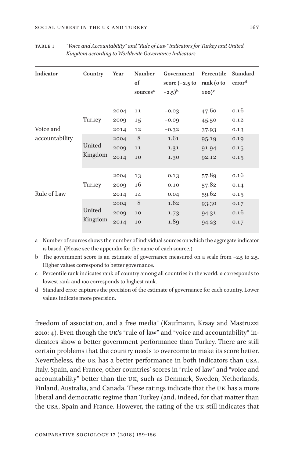| Indicator                   | Country           | Year         | Number<br>of<br>sources <sup>a</sup> | Government<br>score $(-2.5 \text{ to } \text{rank} (0 \text{ to } \text{rank} (0 \text{ to } \text{rank} (0 \text{ to } \text{rank} (0 \text{ to } \text{rank} (0 \text{ to } \text{rank} (0 \text{ to } \text{rank} (0 \text{ to } \text{rank} (0 \text{ to } \text{rank} (0 \text{ to } \text{rank} (0 \text{ to } \text{rank} (0 \text{ to } \text{rank} (0 \text{ to } \text{rank} (0 \text{ to } \text{rank} (0 \text{ to } \text{rank} (0 \text{ to } \text{rank} (0 \text{ to } \text{rank} (0 \text{ to } \$<br>$+2.5$ <sup>b</sup> | Percentile<br>$(100)^c$ | <b>Standard</b><br>errord |
|-----------------------------|-------------------|--------------|--------------------------------------|---------------------------------------------------------------------------------------------------------------------------------------------------------------------------------------------------------------------------------------------------------------------------------------------------------------------------------------------------------------------------------------------------------------------------------------------------------------------------------------------------------------------------------------------|-------------------------|---------------------------|
|                             |                   | 2004         | 11                                   | $-0.03$                                                                                                                                                                                                                                                                                                                                                                                                                                                                                                                                     | 0.16<br>47.60           |                           |
| Voice and<br>accountability | Turkey            | 2009<br>2014 | 15<br>$1\,2$                         | $-0.09$<br>$-0.32$                                                                                                                                                                                                                                                                                                                                                                                                                                                                                                                          | 45.50<br>37.93          | 0.12<br>0.13              |
|                             | United<br>Kingdom | 2004         | 8                                    | 1.61                                                                                                                                                                                                                                                                                                                                                                                                                                                                                                                                        | 95.19                   | 0.19                      |
|                             |                   | 2009         | 11                                   | 1.31                                                                                                                                                                                                                                                                                                                                                                                                                                                                                                                                        | 91.94                   | 0.15                      |
|                             |                   | 2014         | 10                                   | 1.30                                                                                                                                                                                                                                                                                                                                                                                                                                                                                                                                        | 92.12                   | 0.15                      |
|                             |                   | 2004         | 13                                   | 0.13                                                                                                                                                                                                                                                                                                                                                                                                                                                                                                                                        | 57.89                   | 0.16                      |
|                             | Turkey            | 2009         | 16                                   | 0.10                                                                                                                                                                                                                                                                                                                                                                                                                                                                                                                                        | 57.82                   | 0.14                      |
| Rule of Law                 |                   | 2014         | 14                                   | 0.04                                                                                                                                                                                                                                                                                                                                                                                                                                                                                                                                        | 59.62                   | 0.15                      |
|                             | United<br>Kingdom | 2004         | 8                                    | 1.62                                                                                                                                                                                                                                                                                                                                                                                                                                                                                                                                        | 93.30                   | 0.17                      |
|                             |                   | 2009         | 10                                   | 1.73                                                                                                                                                                                                                                                                                                                                                                                                                                                                                                                                        | 94.31                   | 0.16                      |
|                             |                   | 2014         | 10                                   | 1.89                                                                                                                                                                                                                                                                                                                                                                                                                                                                                                                                        | 94.23                   | 0.17                      |

Table 1 *"Voice and Accountability" and "Rule of Law" indicators for Turkey and United Kingdom according to Worldwide Governance Indicators*

a Number of sources shows the number of individual sources on which the aggregate indicator is based. (Please see the appendix for the name of each source.)

b The government score is an estimate of governance measured on a scale from **−**2.5 to 2.5. Higher values correspond to better governance.

c Percentile rank indicates rank of country among all countries in the world. 0 corresponds to lowest rank and 100 corresponds to highest rank.

d Standard error captures the precision of the estimate of governance for each country. Lower values indicate more precision.

freedom of association, and a free media" (Kaufmann, Kraay and Mastruzzi 2010: 4). Even though the UK's "rule of law" and "voice and accountability" indicators show a better government performance than Turkey. There are still certain problems that the country needs to overcome to make its score better. Nevertheless, the UK has a better performance in both indicators than USA, Italy, Spain, and France, other countries' scores in "rule of law" and "voice and accountability" better than the UK, such as Denmark, Sweden, Netherlands, Finland, Australia, and Canada. These ratings indicate that the UK has a more liberal and democratic regime than Turkey (and, indeed, for that matter than the USA, Spain and France. However, the rating of the UK still indicates that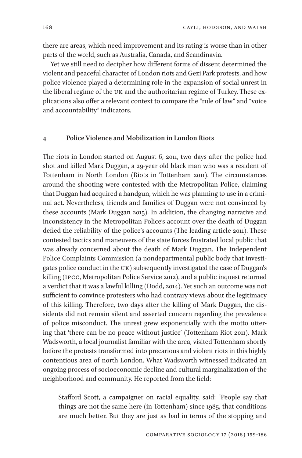there are areas, which need improvement and its rating is worse than in other parts of the world, such as Australia, Canada, and Scandinavia.

Yet we still need to decipher how different forms of dissent determined the violent and peaceful character of London riots and Gezi Park protests, and how police violence played a determining role in the expansion of social unrest in the liberal regime of the UK and the authoritarian regime of Turkey. These explications also offer a relevant context to compare the "rule of law" and "voice and accountability" indicators.

#### **4 Police Violence and Mobilization in London Riots**

The riots in London started on August 6, 2011, two days after the police had shot and killed Mark Duggan, a 29-year old black man who was a resident of Tottenham in North London (Riots in Tottenham 2011). The circumstances around the shooting were contested with the Metropolitan Police, claiming that Duggan had acquired a handgun, which he was planning to use in a criminal act. Nevertheless, friends and families of Duggan were not convinced by these accounts (Mark Duggan 2015). In addition, the changing narrative and inconsistency in the Metropolitan Police's account over the death of Duggan defied the reliability of the police's accounts (The leading article 2011). These contested tactics and maneuvers of the state forces frustrated local public that was already concerned about the death of Mark Duggan. The Independent Police Complaints Commission (a nondepartmental public body that investigates police conduct in the UK) subsequently investigated the case of Duggan's killing (IPCC, Metropolitan Police Service 2012), and a public inquest returned a verdict that it was a lawful killing (Dodd, 2014). Yet such an outcome was not sufficient to convince protesters who had contrary views about the legitimacy of this killing. Therefore, two days after the killing of Mark Duggan, the dissidents did not remain silent and asserted concern regarding the prevalence of police misconduct. The unrest grew exponentially with the motto uttering that 'there can be no peace without justice' (Tottenham Riot 2011). Mark Wadsworth, a local journalist familiar with the area, visited Tottenham shortly before the protests transformed into precarious and violent riots in this highly contentious area of north London. What Wadsworth witnessed indicated an ongoing process of socioeconomic decline and cultural marginalization of the neighborhood and community. He reported from the field:

Stafford Scott, a campaigner on racial equality, said: "People say that things are not the same here (in Tottenham) since 1985, that conditions are much better. But they are just as bad in terms of the stopping and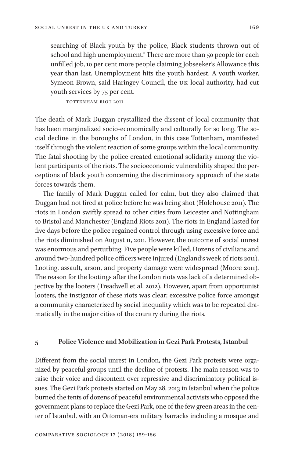searching of Black youth by the police, Black students thrown out of school and high unemployment." There are more than 50 people for each unfilled job, 10 per cent more people claiming Jobseeker's Allowance this year than last. Unemployment hits the youth hardest. A youth worker, Symeon Brown, said Haringey Council, the UK local authority, had cut youth services by 75 per cent.

TOTTENHAM RIOT 2011

The death of Mark Duggan crystallized the dissent of local community that has been marginalized socio-economically and culturally for so long. The social decline in the boroughs of London, in this case Tottenham, manifested itself through the violent reaction of some groups within the local community. The fatal shooting by the police created emotional solidarity among the violent participants of the riots. The socioeconomic vulnerability shaped the perceptions of black youth concerning the discriminatory approach of the state forces towards them.

The family of Mark Duggan called for calm, but they also claimed that Duggan had not fired at police before he was being shot (Holehouse 2011). The riots in London swiftly spread to other cities from Leicester and Nottingham to Bristol and Manchester (England Riots 2011). The riots in England lasted for five days before the police regained control through using excessive force and the riots diminished on August 11, 2011. However, the outcome of social unrest was enormous and perturbing. Five people were killed. Dozens of civilians and around two-hundred police officers were injured (England's week of riots 2011). Looting, assault, arson, and property damage were widespread (Moore 2011). The reason for the lootings after the London riots was lack of a determined objective by the looters (Treadwell et al. 2012). However, apart from opportunist looters, the instigator of these riots was clear; excessive police force amongst a community characterized by social inequality which was to be repeated dramatically in the major cities of the country during the riots.

#### **5 Police Violence and Mobilization in Gezi Park Protests, Istanbul**

Different from the social unrest in London, the Gezi Park protests were organized by peaceful groups until the decline of protests. The main reason was to raise their voice and discontent over repressive and discriminatory political issues. The Gezi Park protests started on May 28, 2013 in Istanbul when the police burned the tents of dozens of peaceful environmental activists who opposed the government plans to replace the Gezi Park, one of the few green areas in the center of Istanbul, with an Ottoman-era military barracks including a mosque and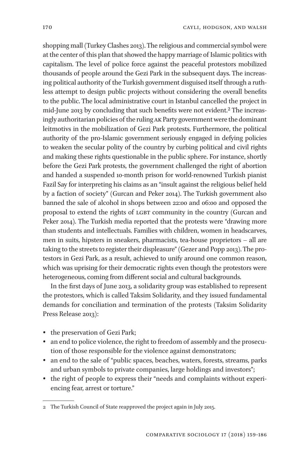shopping mall (Turkey Clashes 2013). The religious and commercial symbol were at the center of this plan that showed the happy marriage of Islamic politics with capitalism. The level of police force against the peaceful protestors mobilized thousands of people around the Gezi Park in the subsequent days. The increasing political authority of the Turkish government disguised itself through a ruthless attempt to design public projects without considering the overall benefits to the public. The local administrative court in Istanbul cancelled the project in mid-June 2013 by concluding that such benefits were not evident.2 The increasingly authoritarian policies of the ruling AK Party government were the dominant leitmotivs in the mobilization of Gezi Park protests. Furthermore, the political authority of the pro-Islamic government seriously engaged in defying policies to weaken the secular polity of the country by curbing political and civil rights and making these rights questionable in the public sphere. For instance, shortly before the Gezi Park protests, the government challenged the right of abortion and handed a suspended 10-month prison for world-renowned Turkish pianist Fazil Say for interpreting his claims as an "insult against the religious belief held by a faction of society" (Gurcan and Peker 2014). The Turkish government also banned the sale of alcohol in shops between 22:00 and 06:00 and opposed the proposal to extend the rights of LGBT community in the country (Gurcan and Peker 2014). The Turkish media reported that the protests were "drawing more than students and intellectuals. Families with children, women in headscarves, men in suits, hipsters in sneakers, pharmacists, tea-house proprietors – all are taking to the streets to register their displeasure" (Gezer and Popp 2013). The protestors in Gezi Park, as a result, achieved to unify around one common reason, which was uprising for their democratic rights even though the protestors were heterogeneous, coming from different social and cultural backgrounds.

In the first days of June 2013, a solidarity group was established to represent the protestors, which is called Taksim Solidarity, and they issued fundamental demands for conciliation and termination of the protests (Taksim Solidarity Press Release 2013):

- the preservation of Gezi Park;
- an end to police violence, the right to freedom of assembly and the prosecution of those responsible for the violence against demonstrators;
- an end to the sale of "public spaces, beaches, waters, forests, streams, parks and urban symbols to private companies, large holdings and investors";
- the right of people to express their "needs and complaints without experiencing fear, arrest or torture."

<sup>2</sup> The Turkish Council of State reapproved the project again in July 2015.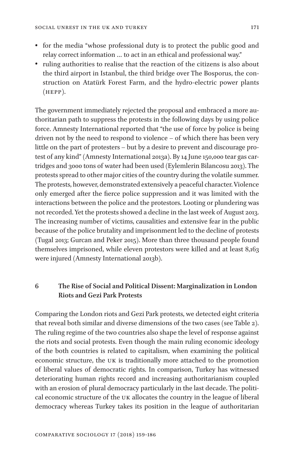- for the media "whose professional duty is to protect the public good and relay correct information … to act in an ethical and professional way."
- ruling authorities to realise that the reaction of the citizens is also about the third airport in Istanbul, the third bridge over The Bosporus, the construction on Atatürk Forest Farm, and the hydro-electric power plants  $(HEPP)$ .

The government immediately rejected the proposal and embraced a more authoritarian path to suppress the protests in the following days by using police force. Amnesty International reported that "the use of force by police is being driven not by the need to respond to violence – of which there has been very little on the part of protesters – but by a desire to prevent and discourage protest of any kind" (Amnesty International 2013a). By 14 June 150,000 tear gas cartridges and 3000 tons of water had been used (Eylemlerin Bilancosu 2013). The protests spread to other major cities of the country during the volatile summer. The protests, however, demonstrated extensively a peaceful character. Violence only emerged after the fierce police suppression and it was limited with the interactions between the police and the protestors. Looting or plundering was not recorded. Yet the protests showed a decline in the last week of August 2013. The increasing number of victims, causalities and extensive fear in the public because of the police brutality and imprisonment led to the decline of protests (Tugal 2013; Gurcan and Peker 2015). More than three thousand people found themselves imprisoned, while eleven protestors were killed and at least 8,163 were injured (Amnesty International 2013b).

## **6 The Rise of Social and Political Dissent: Marginalization in London Riots and Gezi Park Protests**

Comparing the London riots and Gezi Park protests, we detected eight criteria that reveal both similar and diverse dimensions of the two cases (see Table 2). The ruling regime of the two countries also shape the level of response against the riots and social protests. Even though the main ruling economic ideology of the both countries is related to capitalism, when examining the political economic structure, the UK is traditionally more attached to the promotion of liberal values of democratic rights. In comparison, Turkey has witnessed deteriorating human rights record and increasing authoritarianism coupled with an erosion of plural democracy particularly in the last decade. The political economic structure of the UK allocates the country in the league of liberal democracy whereas Turkey takes its position in the league of authoritarian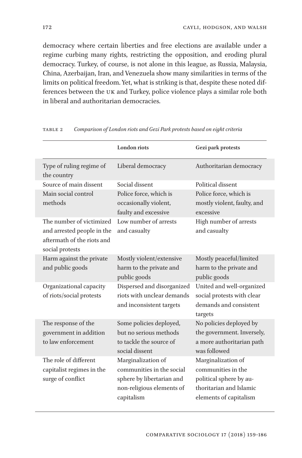democracy where certain liberties and free elections are available under a regime curbing many rights, restricting the opposition, and eroding plural democracy. Turkey, of course, is not alone in this league, as Russia, Malaysia, China, Azerbaijan, Iran, and Venezuela show many similarities in terms of the limits on political freedom. Yet, what is striking is that, despite these noted differences between the UK and Turkey, police violence plays a similar role both in liberal and authoritarian democracies.

|                                                                                                         | London riots                                                                                                            | Gezi park protests                                                                                                       |
|---------------------------------------------------------------------------------------------------------|-------------------------------------------------------------------------------------------------------------------------|--------------------------------------------------------------------------------------------------------------------------|
| Type of ruling regime of<br>the country                                                                 | Liberal democracy                                                                                                       | Authoritarian democracy                                                                                                  |
| Source of main dissent                                                                                  | Social dissent                                                                                                          | Political dissent                                                                                                        |
| Main social control<br>methods                                                                          | Police force, which is<br>occasionally violent,<br>faulty and excessive                                                 | Police force, which is<br>mostly violent, faulty, and<br>excessive                                                       |
| The number of victimized<br>and arrested people in the<br>aftermath of the riots and<br>social protests | Low number of arrests<br>and casualty                                                                                   | High number of arrests<br>and casualty                                                                                   |
| Harm against the private<br>and public goods                                                            | Mostly violent/extensive<br>harm to the private and<br>public goods                                                     | Mostly peaceful/limited<br>harm to the private and<br>public goods                                                       |
| Organizational capacity<br>of riots/social protests                                                     | Dispersed and disorganized<br>riots with unclear demands<br>and inconsistent targets                                    | United and well-organized<br>social protests with clear<br>demands and consistent<br>targets                             |
| The response of the<br>government in addition<br>to law enforcement                                     | Some policies deployed,<br>but no serious methods<br>to tackle the source of<br>social dissent                          | No policies deployed by<br>the government. Inversely,<br>a more authoritarian path<br>was followed                       |
| The role of different<br>capitalist regimes in the<br>surge of conflict                                 | Marginalization of<br>communities in the social<br>sphere by libertarian and<br>non-religious elements of<br>capitalism | Marginalization of<br>communities in the<br>political sphere by au-<br>thoritarian and Islamic<br>elements of capitalism |

Table 2 *Comparison of London riots and Gezi Park protests based on eight criteria*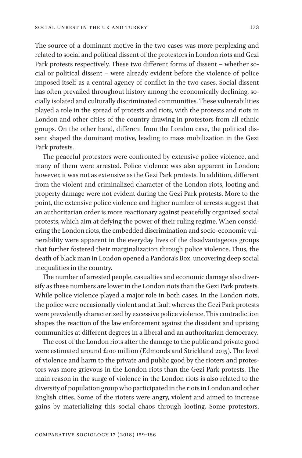The source of a dominant motive in the two cases was more perplexing and related to social and political dissent of the protestors in London riots and Gezi Park protests respectively. These two different forms of dissent – whether social or political dissent – were already evident before the violence of police imposed itself as a central agency of conflict in the two cases. Social dissent has often prevailed throughout history among the economically declining, socially isolated and culturally discriminated communities. These vulnerabilities played a role in the spread of protests and riots, with the protests and riots in London and other cities of the country drawing in protestors from all ethnic groups. On the other hand, different from the London case, the political dissent shaped the dominant motive, leading to mass mobilization in the Gezi Park protests.

The peaceful protestors were confronted by extensive police violence, and many of them were arrested. Police violence was also apparent in London; however, it was not as extensive as the Gezi Park protests. In addition, different from the violent and criminalized character of the London riots, looting and property damage were not evident during the Gezi Park protests. More to the point, the extensive police violence and higher number of arrests suggest that an authoritarian order is more reactionary against peacefully organized social protests, which aim at defying the power of their ruling regime. When considering the London riots, the embedded discrimination and socio-economic vulnerability were apparent in the everyday lives of the disadvantageous groups that further fostered their marginalization through police violence. Thus, the death of black man in London opened a Pandora's Box, uncovering deep social inequalities in the country.

The number of arrested people, casualties and economic damage also diversify as these numbers are lower in the London riots than the Gezi Park protests. While police violence played a major role in both cases. In the London riots, the police were occasionally violent and at fault whereas the Gezi Park protests were prevalently characterized by excessive police violence. This contradiction shapes the reaction of the law enforcement against the dissident and uprising communities at different degrees in a liberal and an authoritarian democracy.

The cost of the London riots after the damage to the public and private good were estimated around £100 million (Edmonds and Strickland 2015). The level of violence and harm to the private and public good by the rioters and protestors was more grievous in the London riots than the Gezi Park protests. The main reason in the surge of violence in the London riots is also related to the diversity of population group who participated in the riots in London and other English cities. Some of the rioters were angry, violent and aimed to increase gains by materializing this social chaos through looting. Some protestors,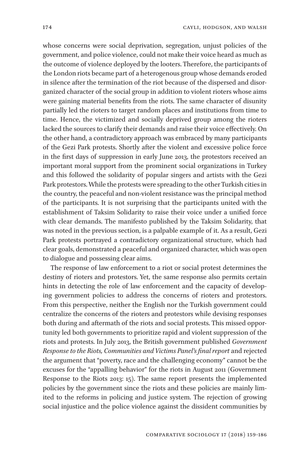whose concerns were social deprivation, segregation, unjust policies of the government, and police violence, could not make their voice heard as much as the outcome of violence deployed by the looters. Therefore, the participants of the London riots became part of a heterogenous group whose demands eroded in silence after the termination of the riot because of the dispersed and disorganized character of the social group in addition to violent rioters whose aims were gaining material benefits from the riots. The same character of disunity partially led the rioters to target random places and institutions from time to time. Hence, the victimized and socially deprived group among the rioters lacked the sources to clarify their demands and raise their voice effectively. On the other hand, a contradictory approach was embraced by many participants of the Gezi Park protests. Shortly after the violent and excessive police force in the first days of suppression in early June 2013, the protestors received an important moral support from the prominent social organizations in Turkey and this followed the solidarity of popular singers and artists with the Gezi Park protestors. While the protests were spreading to the other Turkish cities in the country, the peaceful and non-violent resistance was the principal method of the participants. It is not surprising that the participants united with the establishment of Taksim Solidarity to raise their voice under a unified force with clear demands. The manifesto published by the Taksim Solidarity, that was noted in the previous section, is a palpable example of it. As a result, Gezi Park protests portrayed a contradictory organizational structure, which had clear goals, demonstrated a peaceful and organized character, which was open to dialogue and possessing clear aims.

The response of law enforcement to a riot or social protest determines the destiny of rioters and protestors. Yet, the same response also permits certain hints in detecting the role of law enforcement and the capacity of developing government policies to address the concerns of rioters and protestors. From this perspective, neither the English nor the Turkish government could centralize the concerns of the rioters and protestors while devising responses both during and aftermath of the riots and social protests. This missed opportunity led both governments to prioritize rapid and violent suppression of the riots and protests. In July 2013, the British government published *Government Response to the Riots, Communities and Victims Panel's final report* and rejected the argument that "poverty, race and the challenging economy" cannot be the excuses for the "appalling behavior" for the riots in August 2011 (Government Response to the Riots 2013: 15). The same report presents the implemented policies by the government since the riots and these policies are mainly limited to the reforms in policing and justice system. The rejection of growing social injustice and the police violence against the dissident communities by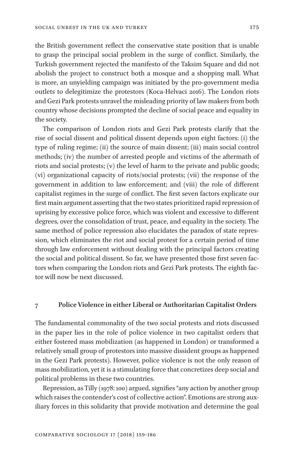the British government reflect the conservative state position that is unable to grasp the principal social problem in the surge of conflict. Similarly, the Turkish government rejected the manifesto of the Taksim Square and did not abolish the project to construct both a mosque and a shopping mall. What is more, an unyielding campaign was initiated by the pro-government media outlets to delegitimize the protestors (Koca-Helvaci 2016). The London riots and Gezi Park protests unravel the misleading priority of law makers from both country whose decisions prompted the decline of social peace and equality in the society.

The comparison of London riots and Gezi Park protests clarify that the rise of social dissent and political dissent depends upon eight factors: (i) the type of ruling regime; (ii) the source of main dissent; (iii) main social control methods; (iv) the number of arrested people and victims of the aftermath of riots and social protests; (v) the level of harm to the private and public goods; (vi) organizational capacity of riots/social protests; (vii) the response of the government in addition to law enforcement; and (viii) the role of different capitalist regimes in the surge of conflict. The first seven factors explicate our first main argument asserting that the two states prioritized rapid repression of uprising by excessive police force, which was violent and excessive to different degrees, over the consolidation of trust, peace, and equality in the society. The same method of police repression also elucidates the paradox of state repression, which eliminates the riot and social protest for a certain period of time through law enforcement without dealing with the principal factors creating the social and political dissent. So far, we have presented those first seven factors when comparing the London riots and Gezi Park protests. The eighth factor will now be next discussed.

#### **7 Police Violence in either Liberal or Authoritarian Capitalist Orders**

The fundamental commonality of the two social protests and riots discussed in the paper lies in the role of police violence in two capitalist orders that either fostered mass mobilization (as happened in London) or transformed a relatively small group of protestors into massive dissident groups as happened in the Gezi Park protests). However, police violence is not the only reason of mass mobilization, yet it is a stimulating force that concretizes deep social and political problems in these two countries.

Repression, as Tilly (1978: 100) argued, signifies "any action by another group which raises the contender's cost of collective action". Emotions are strong auxiliary forces in this solidarity that provide motivation and determine the goal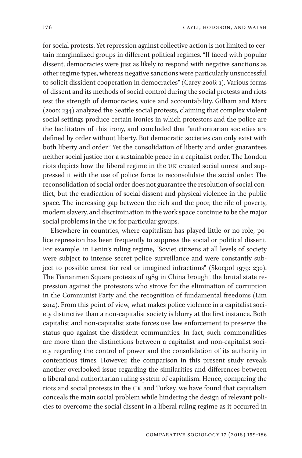for social protests. Yet repression against collective action is not limited to certain marginalized groups in different political regimes. "If faced with popular dissent, democracies were just as likely to respond with negative sanctions as other regime types, whereas negative sanctions were particularly unsuccessful to solicit dissident cooperation in democracies" (Carey 2006: 1). Various forms of dissent and its methods of social control during the social protests and riots test the strength of democracies, voice and accountability. Gilham and Marx (2000: 234) analyzed the Seattle social protests, claiming that complex violent social settings produce certain ironies in which protestors and the police are the facilitators of this irony, and concluded that "authoritarian societies are defined by order without liberty. But democratic societies can only exist with both liberty and order." Yet the consolidation of liberty and order guarantees neither social justice nor a sustainable peace in a capitalist order. The London riots depicts how the liberal regime in the UK created social unrest and suppressed it with the use of police force to reconsolidate the social order. The reconsolidation of social order does not guarantee the resolution of social conflict, but the eradication of social dissent and physical violence in the public space. The increasing gap between the rich and the poor, the rife of poverty, modern slavery, and discrimination in the work space continue to be the major social problems in the UK for particular groups.

Elsewhere in countries, where capitalism has played little or no role, police repression has been frequently to suppress the social or political dissent. For example, in Lenin's ruling regime, "Soviet citizens at all levels of society were subject to intense secret police surveillance and were constantly subject to possible arrest for real or imagined infractions" (Skocpol 1979: 230). The Tiananmen Square protests of 1989 in China brought the brutal state repression against the protestors who strove for the elimination of corruption in the Communist Party and the recognition of fundamental freedoms (Lim 2014). From this point of view, what makes police violence in a capitalist society distinctive than a non-capitalist society is blurry at the first instance. Both capitalist and non-capitalist state forces use law enforcement to preserve the status quo against the dissident communities. In fact, such commonalities are more than the distinctions between a capitalist and non-capitalist society regarding the control of power and the consolidation of its authority in contentious times. However, the comparison in this present study reveals another overlooked issue regarding the similarities and differences between a liberal and authoritarian ruling system of capitalism. Hence, comparing the riots and social protests in the UK and Turkey, we have found that capitalism conceals the main social problem while hindering the design of relevant policies to overcome the social dissent in a liberal ruling regime as it occurred in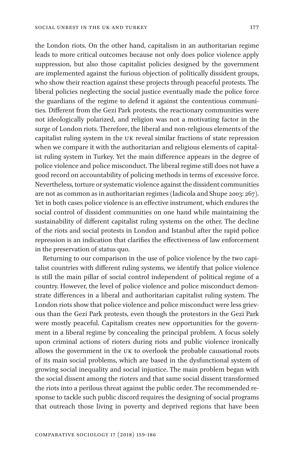the London riots. On the other hand, capitalism in an authoritarian regime leads to more critical outcomes because not only does police violence apply suppression, but also those capitalist policies designed by the government are implemented against the furious objection of politically dissident groups, who show their reaction against these projects through peaceful protests. The liberal policies neglecting the social justice eventually made the police force the guardians of the regime to defend it against the contentious communities. Different from the Gezi Park protests, the reactionary communities were not ideologically polarized, and religion was not a motivating factor in the surge of London riots. Therefore, the liberal and non-religious elements of the capitalist ruling system in the UK reveal similar fractions of state repression when we compare it with the authoritarian and religious elements of capitalist ruling system in Turkey. Yet the main difference appears in the degree of police violence and police misconduct. The liberal regime still does not have a good record on accountability of policing methods in terms of excessive force. Nevertheless, torture or systematic violence against the dissident communities are not as common as in authoritarian regimes (Iadicola and Shupe 2003: 267). Yet in both cases police violence is an effective instrument, which endures the social control of dissident communities on one hand while maintaining the sustainability of different capitalist ruling systems on the other. The decline of the riots and social protests in London and Istanbul after the rapid police repression is an indication that clarifies the effectiveness of law enforcement in the preservation of status quo.

Returning to our comparison in the use of police violence by the two capitalist countries with different ruling systems, we identify that police violence is still the main pillar of social control independent of political regime of a country. However, the level of police violence and police misconduct demonstrate differences in a liberal and authoritarian capitalist ruling system. The London riots show that police violence and police misconduct were less grievous than the Gezi Park protests, even though the protestors in the Gezi Park were mostly peaceful. Capitalism creates new opportunities for the government in a liberal regime by concealing the principal problem. A focus solely upon criminal actions of rioters during riots and public violence ironically allows the government in the UK to overlook the probable causational roots of its main social problems, which are based in the dysfunctional system of growing social inequality and social injustice. The main problem began with the social dissent among the rioters and that same social dissent transformed the riots into a perilous threat against the public order. The recommended response to tackle such public discord requires the designing of social programs that outreach those living in poverty and deprived regions that have been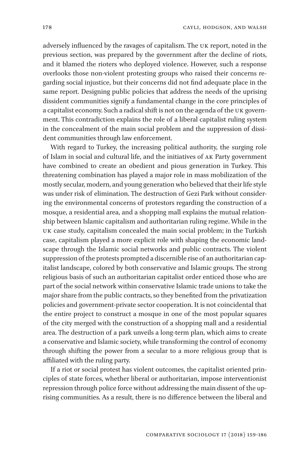adversely influenced by the ravages of capitalism. The UK report, noted in the previous section, was prepared by the government after the decline of riots, and it blamed the rioters who deployed violence. However, such a response overlooks those non-violent protesting groups who raised their concerns regarding social injustice, but their concerns did not find adequate place in the same report. Designing public policies that address the needs of the uprising dissident communities signify a fundamental change in the core principles of a capitalist economy. Such a radical shift is not on the agenda of the UK government. This contradiction explains the role of a liberal capitalist ruling system in the concealment of the main social problem and the suppression of dissident communities through law enforcement.

With regard to Turkey, the increasing political authority, the surging role of Islam in social and cultural life, and the initiatives of AK Party government have combined to create an obedient and pious generation in Turkey. This threatening combination has played a major role in mass mobilization of the mostly secular, modern, and young generation who believed that their life style was under risk of elimination. The destruction of Gezi Park without considering the environmental concerns of protestors regarding the construction of a mosque, a residential area, and a shopping mall explains the mutual relationship between Islamic capitalism and authoritarian ruling regime. While in the UK case study, capitalism concealed the main social problem; in the Turkish case, capitalism played a more explicit role with shaping the economic landscape through the Islamic social networks and public contracts. The violent suppression of the protests prompted a discernible rise of an authoritarian capitalist landscape, colored by both conservative and Islamic groups. The strong religious basis of such an authoritarian capitalist order enticed those who are part of the social network within conservative Islamic trade unions to take the major share from the public contracts, so they benefited from the privatization policies and government-private sector cooperation. It is not coincidental that the entire project to construct a mosque in one of the most popular squares of the city merged with the construction of a shopping mall and a residential area. The destruction of a park unveils a long-term plan, which aims to create a conservative and Islamic society, while transforming the control of economy through shifting the power from a secular to a more religious group that is affiliated with the ruling party.

If a riot or social protest has violent outcomes, the capitalist oriented principles of state forces, whether liberal or authoritarian, impose interventionist repression through police force without addressing the main dissent of the uprising communities. As a result, there is no difference between the liberal and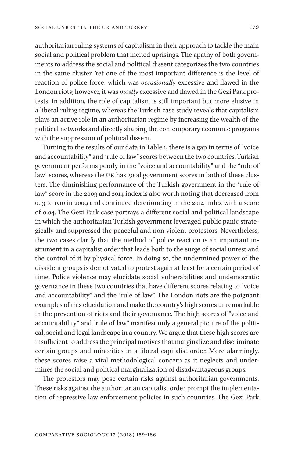authoritarian ruling systems of capitalism in their approach to tackle the main social and political problem that incited uprisings. The apathy of both governments to address the social and political dissent categorizes the two countries in the same cluster. Yet one of the most important difference is the level of reaction of police force, which was *occasionally* excessive and flawed in the London riots; however, it was *mostly* excessive and flawed in the Gezi Park protests. In addition, the role of capitalism is still important but more elusive in a liberal ruling regime, whereas the Turkish case study reveals that capitalism plays an active role in an authoritarian regime by increasing the wealth of the political networks and directly shaping the contemporary economic programs with the suppression of political dissent.

Turning to the results of our data in Table 1, there is a gap in terms of "voice and accountability" and "rule of law" scores between the two countries. Turkish government performs poorly in the "voice and accountability" and the "rule of law" scores, whereas the UK has good government scores in both of these clusters. The diminishing performance of the Turkish government in the "rule of law" score in the 2009 and 2014 index is also worth noting that decreased from 0.13 to 0.10 in 2009 and continued deteriorating in the 2014 index with a score of 0.04. The Gezi Park case portrays a different social and political landscape in which the authoritarian Turkish government leveraged public panic strategically and suppressed the peaceful and non-violent protestors. Nevertheless, the two cases clarify that the method of police reaction is an important instrument in a capitalist order that leads both to the surge of social unrest and the control of it by physical force. In doing so, the undermined power of the dissident groups is demotivated to protest again at least for a certain period of time. Police violence may elucidate social vulnerabilities and undemocratic governance in these two countries that have different scores relating to "voice and accountability" and the "rule of law". The London riots are the poignant examples of this elucidation and make the country's high scores unremarkable in the prevention of riots and their governance. The high scores of "voice and accountability" and "rule of law" manifest only a general picture of the political, social and legal landscape in a country. We argue that these high scores are insufficient to address the principal motives that marginalize and discriminate certain groups and minorities in a liberal capitalist order. More alarmingly, these scores raise a vital methodological concern as it neglects and undermines the social and political marginalization of disadvantageous groups.

The protestors may pose certain risks against authoritarian governments. These risks against the authoritarian capitalist order prompt the implementation of repressive law enforcement policies in such countries. The Gezi Park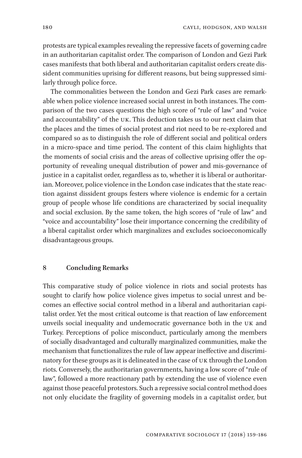protests are typical examples revealing the repressive facets of governing cadre in an authoritarian capitalist order. The comparison of London and Gezi Park cases manifests that both liberal and authoritarian capitalist orders create dissident communities uprising for different reasons, but being suppressed similarly through police force.

The commonalities between the London and Gezi Park cases are remarkable when police violence increased social unrest in both instances. The comparison of the two cases questions the high score of "rule of law" and "voice and accountability" of the UK. This deduction takes us to our next claim that the places and the times of social protest and riot need to be re-explored and compared so as to distinguish the role of different social and political orders in a micro-space and time period. The content of this claim highlights that the moments of social crisis and the areas of collective uprising offer the opportunity of revealing unequal distribution of power and mis-governance of justice in a capitalist order, regardless as to, whether it is liberal or authoritarian. Moreover, police violence in the London case indicates that the state reaction against dissident groups festers where violence is endemic for a certain group of people whose life conditions are characterized by social inequality and social exclusion. By the same token, the high scores of "rule of law" and "voice and accountability" lose their importance concerning the credibility of a liberal capitalist order which marginalizes and excludes socioeconomically disadvantageous groups.

### **8 Concluding Remarks**

This comparative study of police violence in riots and social protests has sought to clarify how police violence gives impetus to social unrest and becomes an effective social control method in a liberal and authoritarian capitalist order. Yet the most critical outcome is that reaction of law enforcement unveils social inequality and undemocratic governance both in the UK and Turkey. Perceptions of police misconduct, particularly among the members of socially disadvantaged and culturally marginalized communities, make the mechanism that functionalizes the rule of law appear ineffective and discriminatory for these groups as it is delineated in the case of UK through the London riots. Conversely, the authoritarian governments, having a low score of "rule of law", followed a more reactionary path by extending the use of violence even against those peaceful protestors. Such a repressive social control method does not only elucidate the fragility of governing models in a capitalist order, but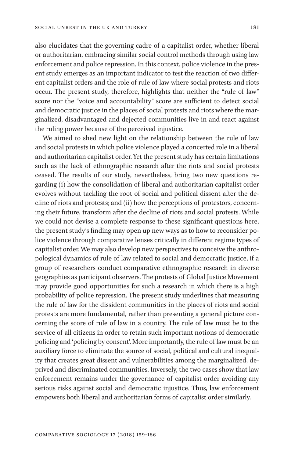also elucidates that the governing cadre of a capitalist order, whether liberal or authoritarian, embracing similar social control methods through using law enforcement and police repression. In this context, police violence in the present study emerges as an important indicator to test the reaction of two different capitalist orders and the role of rule of law where social protests and riots occur. The present study, therefore, highlights that neither the "rule of law" score nor the "voice and accountability" score are sufficient to detect social and democratic justice in the places of social protests and riots where the marginalized, disadvantaged and dejected communities live in and react against the ruling power because of the perceived injustice.

We aimed to shed new light on the relationship between the rule of law and social protests in which police violence played a concerted role in a liberal and authoritarian capitalist order. Yet the present study has certain limitations such as the lack of ethnographic research after the riots and social protests ceased. The results of our study, nevertheless, bring two new questions regarding (i) how the consolidation of liberal and authoritarian capitalist order evolves without tackling the root of social and political dissent after the decline of riots and protests; and (ii) how the perceptions of protestors, concerning their future, transform after the decline of riots and social protests. While we could not devise a complete response to these significant questions here, the present study's finding may open up new ways as to how to reconsider police violence through comparative lenses critically in different regime types of capitalist order. We may also develop new perspectives to conceive the anthropological dynamics of rule of law related to social and democratic justice, if a group of researchers conduct comparative ethnographic research in diverse geographies as participant observers. The protests of Global Justice Movement may provide good opportunities for such a research in which there is a high probability of police repression. The present study underlines that measuring the rule of law for the dissident communities in the places of riots and social protests are more fundamental, rather than presenting a general picture concerning the score of rule of law in a country. The rule of law must be to the service of all citizens in order to retain such important notions of democratic policing and 'policing by consent'. More importantly, the rule of law must be an auxiliary force to eliminate the source of social, political and cultural inequality that creates great dissent and vulnerabilities among the marginalized, deprived and discriminated communities. Inversely, the two cases show that law enforcement remains under the governance of capitalist order avoiding any serious risks against social and democratic injustice. Thus, law enforcement empowers both liberal and authoritarian forms of capitalist order similarly.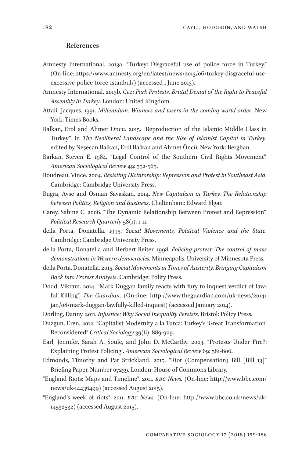#### **References**

- Amnesty International. 2013a. "Turkey: Disgraceful use of police force in Turkey." (On-line: https://www.amnesty.org/en/latest/news/2013/06/turkey-disgraceful-useexcessive-police-force-istanbul/) (accessed 1 June 2013).
- Amnesty International. 2013b. *Gezi Park Protests. Brutal Denial of the Right to Peaceful Assembly in Turkey*. London: United Kingdom.
- Attali, Jacques. 1991. *Millennium: Winners and losers in the coming world order*. New York: Times Books.
- Balkan, Erol and Ahmet Oncu. 2015. "Reproduction of the Islamic Middle Class in Turkey". In *The Neoliberal Landscape and the Rise of Islamist Capital in Turkey*, edited by Neşecan Balkan, Erol Balkan and Ahmet Öncü. New York: Berghan.
- Barkan, Steven E. 1984. "Legal Control of the Southern Civil Rights Movement". *American Sociological Review* 49: 552-565.
- Boudreau, Vince. 2004. *Resisting Dictatorship: Repression and Protest in Southeast Asia*. Cambridge: Cambridge University Press.
- Bugra, Ayse and Osman Savaskan. 2014. *New Capitalism in Turkey. The Relationship between Politics, Religion and Business*. Cheltenham: Edward Elgar.
- Carey, Sabine C. 2006. "The Dynamic Relationship Between Protest and Repression". *Political Research Quarterly* 58(1): 1-11.
- della Porta, Donatella. 1995. *Social Movements, Political Violence and the State*. Cambridge: Cambridge University Press.
- della Porta, Donatella and Herbert Reiter. 1998. *Policing protest: The control of mass demonstrations in Western democracies.* Minneapolis: University of Minnesota Press.
- della Porta, Donatella. 2015. *Social Movements in Times of Austerity: Bringing Capitalism Back Into Protest Analysis*. Cambridge: Polity Press.
- Dodd, Vikram. 2014. "Mark Duggan family reacts with fury to inquest verdict of lawful Killing". *The Guardian*. (On-line: http://www.theguardian.com/uk-news/2014/ jan/08/mark-duggan-lawfully-killed-inquest) (accessed January 2014).
- Dorling, Danny. 2011. *Injustice: Why Social Inequality Persists*. Bristol: Policy Press.
- Duzgun, Eren. 2012. "Capitalist Modernity a la Turca: Turkey's 'Great Transformation' Reconsidered" *Critical Sociology* 39(6): 889-909.
- Earl, Jennifer, Sarah A. Soule, and John D. McCarthy. 2003. "Protests Under Fire?: Explaining Protest Policing". *American Sociological Review* 69: 581-606.
- Edmonds, Timothy and Pat Strickland. 2015. "Riot (Compensation) Bill [Bill 13]" Briefing Paper, Number 07239. London: House of Commons Library.
- "England Riots: Maps and Timeline". 2011. *BBC News.* (On-line: http://www.bbc.com/ news/uk-14436499) (accessed August 2015).
- "England's week of riots". 2011. *BBC News.* (On-line: http://www.bbc.co.uk/news/uk-14532532) (accessed August 2015).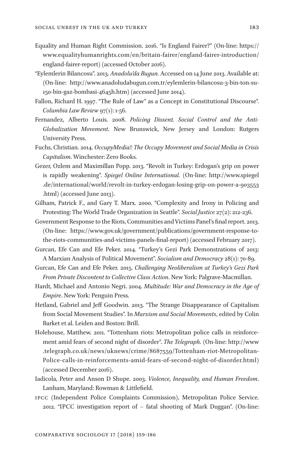- Equality and Human Right Commission. 2016. "Is England Fairer?" (On-line: https:// www.equalityhumanrights.com/en/britain-fairer/england-fairer-introduction/ england-fairer-report) (accessed October 2016).
- "Eylemlerin Bilancosu". 2013. *Anadolu'da Bugun.* Accessed on 14 June 2013. Available at: (On-line: http://www.anadoludabugun.com.tr/eylemlerin-bilancosu-3-bin-ton-su-150-bin-gaz-bombasi-4645h.htm) (accessed June 2014).
- Fallon, Richard H. 1997. "The Rule of Law" as a Concept in Constitutional Discourse". *Columbia Law Review* 97(1): 1-56.
- Fernandez, Alberto Louis. 2008. *Policing Dissent. Social Control and the Anti-Globalization Movement*. New Brunswick, New Jersey and London: Rutgers University Press.
- Fuchs, Christian. 2014. *OccupyMedia!: The Occupy Movement and Social Media in Crisis Capitalism*. Winchester: Zero Books.
- Gezer, Ozlem and Maximillan Popp. 2013. "Revolt in Turkey: Erdogan's grip on power is rapidly weakening". *Spiegel Online International.* (On-line: http://www.spiegel .de/international/world/revolt-in-turkey-erdogan-losing-grip-on-power-a-903553 .html) (accessed June 2013).
- Gilham, Patrick F., and Gary T. Marx. 2000. "Complexity and Irony in Policing and Protesting: The World Trade Organization in Seattle". *Social Justice* 27(2): 212-236.
- Government Response to the Riots, Communities and Victims Panel's final report. 2013. (On-line: https://www.gov.uk/government/publications/government-response-tothe-riots-communities-and-victims-panels-final-report) (accessed February 2017).
- Gurcan, Efe Can and Efe Peker. 2014. "Turkey's Gezi Park Demonstrations of 2013: A Marxian Analysis of Political Movement". *Socialism and Democracy* 28(1): 70-89.
- Gurcan, Efe Can and Efe Peker. 2015. *Challenging Neoliberalism at Turkey's Gezi Park From Private Discontent to Collective Class Action*. New York: Palgrave-Macmillan.
- Hardt, Michael and Antonio Negri. 2004. *Multitude: War and Democracy in the Age of Empire*. New York: Penguin Press.
- Hetland, Gabriel and Jeff Goodwin. 2013. "The Strange Disappearance of Capitalism from Social Movement Studies". In *Marxism and Social Movements*, edited by Colin Barket et al. Leiden and Boston: Brill.
- Holehouse, Matthew. 2011. "Tottenham riots: Metropolitan police calls in reinforcement amid fears of second night of disorder". *The Telegraph.* (On-line: http://www .telegraph.co.uk/news/uknews/crime/8687559/Tottenham-riot-Metropolitan-Police-calls-in-reinforcements-amid-fears-of-second-night-of-disorder.html) (accessed December 2016).
- Iadicola, Peter and Anson D Shupe. 2003. *Violence, Inequality, and Human Freedom*. Lanham, Maryland: Rowman & Littlefield.
- IPCC (Independent Police Complaints Commission), Metropolitan Police Service. 2012. "IPCC investigation report of – fatal shooting of Mark Duggan". (On-line: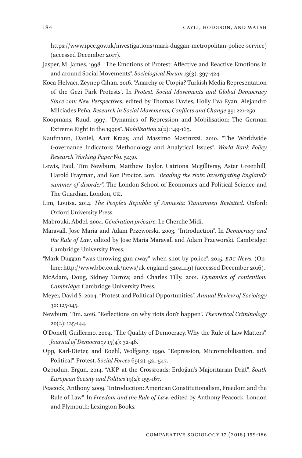https://www.ipcc.gov.uk/investigations/mark-duggan-metropolitan-police-service) (accessed December 2017).

- Jasper, M. James. 1998. "The Emotions of Protest: Affective and Reactive Emotions in and around Social Movements". *Sociological Forum* 13(3): 397-424.
- Koca-Helvacı, Zeynep Cihan. 2016. "Anarchy or Utopia? Turkish Media Representation of the Gezi Park Protests". In *Protest, Social Movements and Global Democracy Since 2011: New Perspectives*, edited by Thomas Davies, Holly Eva Ryan, Alejandro Milcíades Peña. *Research in Social Movements, Conflicts and Change* 39: 221-250.
- Koopmans, Ruud. 1997. "Dynamics of Repression and Mobilisation: The German Extreme Right in the 1990s". *Mobilisation* 2(2): 149-165.
- Kaufmann, Daniel, Aart Kraay, and Massimo Mastruzzi. 2010. "The Worldwide Governance Indicators: Methodology and Analytical Issues". *World Bank Policy Research Working Paper* No. 5430.
- Lewis, Paul, Tim Newburn, Matthew Taylor, Catriona Mcgillivray, Aster Greenhill, Harold Frayman, and Ron Proctor. 2011. "*Reading the riots: investigating England's summer of disorder*". The London School of Economics and Political Science and The Guardian. London, UK.
- Lim, Louisa. 2014. *The People's Republic of Amnesia: Tiananmen Revisited*. Oxford: Oxford University Press.
- Mabrouki, Abdel. 2004. *Génération précaire*. Le Cherche Midi.
- Maravall, Jose Maria and Adam Przeworski. 2003. "Introduction". In *Democracy and the Rule of Law*, edited by Jose Maria Maravall and Adam Przeworski. Cambridge: Cambridge University Press.
- "Mark Duggan "was throwing gun away" when shot by police". 2015. *BBC News*. (Online: http://www.bbc.co.uk/news/uk-england-32041119) (accessed December 2016).
- McAdam, Doug, Sidney Tarrow, and Charles Tilly. 2001. *Dynamics of contention. Cambridge*: Cambridge University Press.
- Meyer, David S. 2004. "Protest and Political Opportunities". *Annual Review of Sociology*  30: 125-145.
- Newburn, Tim. 2016. "Reflections on why riots don't happen". *Theoretical Criminology* 20(2): 125-144.
- O'Donell, Guillermo. 2004. "The Quality of Democracy. Why the Rule of Law Matters". *Journal of Democracy* 15(4): 32-46.
- Opp, Karl-Dieter, and Roehl, Wolfgang. 1990. "Repression, Micromobilisation, and Political". Protest. *Social Forces* 69(2): 521-547.
- Ozbudun, Ergun. 2014. "AKP at the Crossroads: Erdoğan's Majoritarian Drift". *South European Society and Politics* 19(2): 155-167.
- Peacock, Anthony. 2009. "Introduction: American Constitutionalism, Freedom and the Rule of Law". In *Freedom and the Rule of Law*, edited by Anthony Peacock. London and Plymouth: Lexington Books.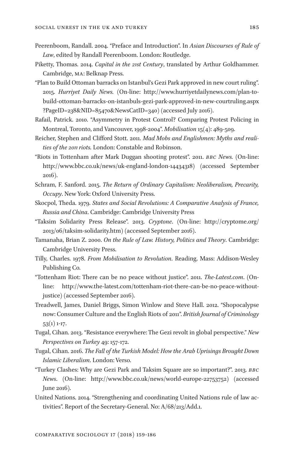- Peerenboom, Randall. 2004. "Preface and Introduction". In *Asian Discourses of Rule of Law*, edited by Randall Peerenboom. London: Routledge.
- Piketty, Thomas. 2014. *Capital in the 21st Century*, translated by Arthur Goldhammer. Cambridge, MA: Belknap Press.
- "Plan to Build Ottoman barracks on Istanbul's Gezi Park approved in new court ruling". 2015. *Hurriyet Daily News.* (On-line: http://www.hurriyetdailynews.com/plan-tobuild-ottoman-barracks-on-istanbuls-gezi-park-approved-in-new-courtruling.aspx ?PageID=238&NID=85470&NewsCatID=340) (accessed July 2016).
- Rafail, Patrick. 2010. "Asymmetry in Protest Control? Comparing Protest Policing in Montreal, Toronto, and Vancouver, 1998-2004". *Mobilisation* 15(4): 489-509.
- Reicher, Stephen and Clifford Stott. 2011. *Mad Mobs and Englishmen: Myths and realities of the 2011 riots.* London: Constable and Robinson.
- "Riots in Tottenham after Mark Duggan shooting protest". 2011. *BBC News.* (On-line: http://www.bbc.co.uk/news/uk-england-london-14434318) (accessed September 2016).
- Schram, F. Sanford. 2015. *The Return of Ordinary Capitalism: Neoliberalism, Precarity, Occupy*. New York: Oxford University Press.
- Skocpol, Theda. 1979. *States and Social Revolutions: A Comparative Analysis of France, Russia and China*. Cambridge: Cambridge University Press
- "Taksim Solidarity Press Release". 2013. *Cryptone*. (On-line: http://cryptome.org/ 2013/06/taksim-solidarity.htm) (accessed September 2016).
- Tamanaha, Brian Z. 2000. *On the Rule of Law. History, Politics and Theory*. Cambridge: Cambridge University Press.
- Tilly, Charles. 1978. *From Mobilisation to Revolution*. Reading, Mass: Addison-Wesley Publishing Co.
- "Tottenham Riot: There can be no peace without justice". 2011. *The-Latest.com*. (Online: http://www.the-latest.com/tottenham-riot-there-can-be-no-peace-withoutjustice) (accessed September 2016).
- Treadwell, James, Daniel Briggs, Simon Winlow and Steve Hall. 2012. "Shopocalypse now: Consumer Culture and the English Riots of 2011". *British Journal of Criminology*   $53(1)$  1-17.
- Tugal, Cihan. 2013. "Resistance everywhere: The Gezi revolt in global perspective." *New Perspectives on Turkey* 49: 157-172.
- Tugal, Cihan. 2016. *The Fall of the Turkish Model: How the Arab Uprisings Brought Down Islamic Liberalism*. London: Verso.
- "Turkey Clashes: Why are Gezi Park and Taksim Square are so important?". 2013. *BBC News*. (On-line: http://www.bbc.co.uk/news/world-europe-22753752) (accessed June 2016).
- United Nations. 2014. "Strengthening and coordinating United Nations rule of law activities". Report of the Secretary-General. No: A/68/213/Add.1.